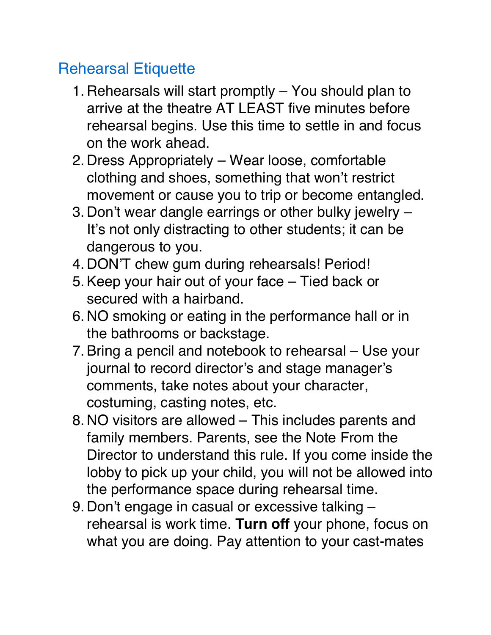## Rehearsal Etiquette

- 1. Rehearsals will start promptly You should plan to arrive at the theatre AT LEAST five minutes before rehearsal begins. Use this time to settle in and focus on the work ahead.
- 2. Dress Appropriately Wear loose, comfortable clothing and shoes, something that won't restrict movement or cause you to trip or become entangled.
- 3. Don't wear dangle earrings or other bulky jewelry It's not only distracting to other students; it can be dangerous to you.
- 4. DON'T chew gum during rehearsals! Period!
- 5.Keep your hair out of your face Tied back or secured with a hairband.
- 6. NO smoking or eating in the performance hall or in the bathrooms or backstage.
- 7.Bring a pencil and notebook to rehearsal Use your journal to record director's and stage manager's comments, take notes about your character, costuming, casting notes, etc.
- 8. NO visitors are allowed This includes parents and family members. Parents, see the Note From the Director to understand this rule. If you come inside the lobby to pick up your child, you will not be allowed into the performance space during rehearsal time.
- 9. Don't engage in casual or excessive talking rehearsal is work time. **Turn off** your phone, focus on what you are doing. Pay attention to your cast-mates